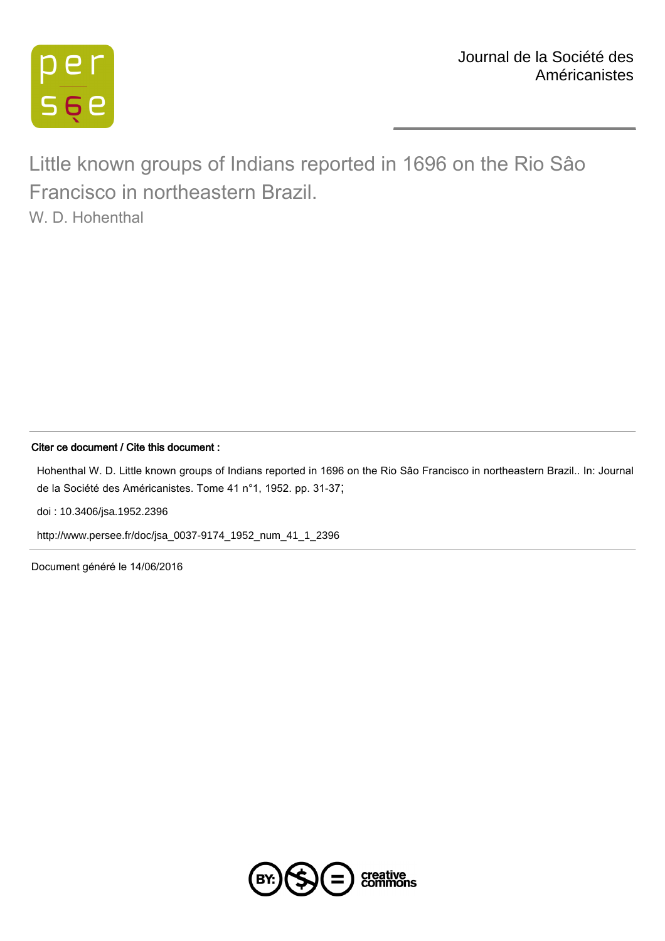

[Little known groups of Indians reported in 1696 on the Rio Sâo](http://www.persee.fr/doc/jsa_0037-9174_1952_num_41_1_2396) [Francisco in northeastern Brazil.](http://www.persee.fr/doc/jsa_0037-9174_1952_num_41_1_2396)

[W. D. Hohenthal](http://www.persee.fr/author/auteur_jsa_299)

## Citer ce document / Cite this document :

Hohenthal W. D. Little known groups of Indians reported in 1696 on the Rio Sâo Francisco in northeastern Brazil.. In: Journal de la Société des Américanistes. Tome 41 n°1, 1952. pp. 31-37;

[doi : 10.3406/jsa.1952.2396](http://dx.doi.org/10.3406/jsa.1952.2396)

[http://www.persee.fr/doc/jsa\\_0037-9174\\_1952\\_num\\_41\\_1\\_2396](http://www.persee.fr/doc/jsa_0037-9174_1952_num_41_1_2396)

Document généré le 14/06/2016

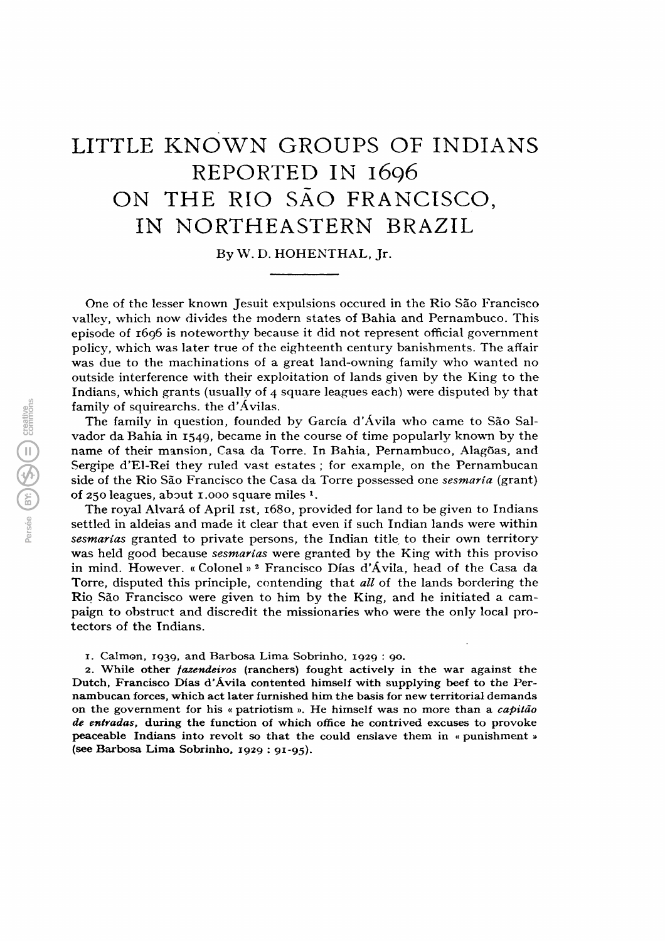## LITTLE KNOWN GROUPS OF INDIANS REPORTED IN 1696 ON THE RIO SÂO FRANCISCO, IN NORTHEASTERN BRAZIL

By W. D. HOHENTHAL, Jr.

One of the lesser known Jesuit expulsions occured in the Rio Sào Francisco valley, which now divides the modern states of Bahia and Pernambuco. This episode of 1696 is noteworthy because it did not represent official government policy, which was later true of the eighteenth century banishments. The affair was due to the machinations of a great land-owning family who wanted no outside interference with their exploitation of lands given by the King to the Indians, which grants (usually of 4 square leagues each) were disputed by that family of squirearchs. the d'Avilas.

The family in question, founded by Garcia d'Avila who came to Sào vador da Bahia in 1549, became in the course of time popularly known by the name of their mansion, Casa da Torre. In Bahia, Pernambuco, Alagôas, and Sergipe d'El-Rei they ruled vast estates ; for example, on the Pernambucan side of the Rio São Francisco the Casa da Torre possessed one *sesmaria* (grant) of 250 leagues, about 1.000 square miles <sup>1</sup>.

The royal Alvará of April 1st, 1680, provided for land to be given to Indians settled in aldeias and made it clear that even if such Indian lands were within sesmarias granted to private persons, the Indian title to their own territory was held good because sesmarias were granted by the King with this proviso in mind. However. « Colonel » 2 Francisco Dias d'Avila, head of the Casa da Torre, disputed this principle, contending that all of the lands bordering the Rio Sâo Francisco were given to him by the King, and he initiated a paign to obstruct and discredit the missionaries who were the only local protectors of the Indians.

1. Calmon, 1939, and. Barbosa Lima Sobrinho, 1929 : 90.

2. While other fazendeiros (ranchers) fought actively in the war against the Dutch, Francisco Dias d'Avila contented himself with supplying beef to the nambucan forces, which act later furnished him the basis for new territorial demands on the government for his « patriotism ». He himself was no more than a *capitão* de entradas, during the function of which office he contrived excuses to provoke peaceable Indians into revolt so that the could enslave them in « punishment » (see Barbosa Lima Sobrinho, 1929 : 91-95).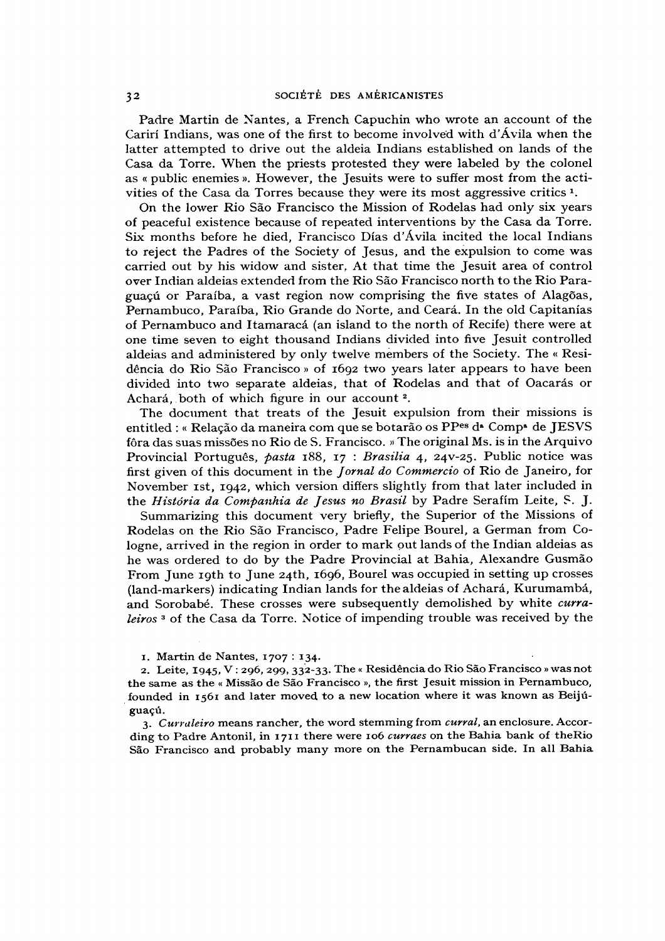Padre Martin de Nantes, a French Capuchin who wrote an account of the Cariri Indians, was one of the first to become involved with d'Avila when the latter attempted to drive out the aldeia Indians established on lands of the Casa da Torre. When the priests protested they were labeled by the colonel as « public enemies ». However, the Jesuits were to suffer most from the vities of the Casa da Torres because they were its most aggressive critics  $1$ .

On the lower Rio Sâo Francisco the Mission of Rodelas had only six years of peaceful existence because of repeated interventions by the Casa da Torre. Six months before he died, Francisco Dias d'Avila incited the local Indians to reject the Padres of the Society of Jesus, and the expulsion to come was carried out by his widow and sister.. At that time the Jesuit area of control over Indian aldeias extended from the Rio Sâo Francisco north to the Rio Paraguaçú or Paraíba, a vast region now comprising the five states of Alagõas. Pernambuco, Paraiba, Rio Grande do Norte, and Ceará. In the old Capitanias of Pernambuco and Itamaracá (an island to the north of Recife) there were at one time seven to eight thousand Indians divided into five Jesuit controlled aldeias and administered by only twelve members of the Society. The « Residência do Rio Sâo Francisco » of 1692 two years later appears to have been divided into two separate aldeias, that of Rodelas and that of Oacarás or Achará. both of which figure in our account<sup>2</sup>.

The document that treats of the Jesuit expulsion from their missions is entitled : « Relação da maneira com que se botarão os PPes d<sup>®</sup> Comp<sup>®</sup> de JESVS fora das suas missôes no Rio de S. Francisco. » The original Ms. is in the Arquivo Provincial Português, pasta 188, 17 : Brasilia 4, 24v-25. Public notice was first given of this document in the Jornal do Commercio of Rio de Janeiro, for November 1st, 1942, which version differs slightly from that later included in the História da Companhia de Jesus no Brasil by Padre Serafím Leite, S. J.

Summarizing this document very briefly, the Superior of the Missions of Rodelas on the Rio Sâo Francisco, Padre Felipe Bourel, a German from logne, arrived in the region in order to mark out lands of the Indian aldeias as he was ordered to do by the Padre Provincial at Bahia, Alexandre Gusmâo From June 19th to June 24th, 1696, Bourel was occupied in setting up crosses (land-markers) indicating Indian lands for the aldeias of Achará, Kurumambá, and Sorobabé. These crosses were subsequently demolished by white curraleiros 3 of the Casa da Torre. Notice of impending trouble was received by the

1. Martin de Nantes, 1707 : 134.

2. Leite, I945, V : 296, 299, 332-33. The « Residência do Rio Sâo Francisco » was not the same as the « Missâo de Sâo Francisco », the first Jesuit mission in Pernambuco, founded in 1561 and later moved to a new location where it was known as Beijuguacú.

3. Curraleiro means rancher, the word stemming from curral, an enclosure. According to Padre Antonil, in 1711 there were 106 curraes on the Bahia bank of theRio Sâo Francisco and probably many more on the Pernambucan side. In all Bahia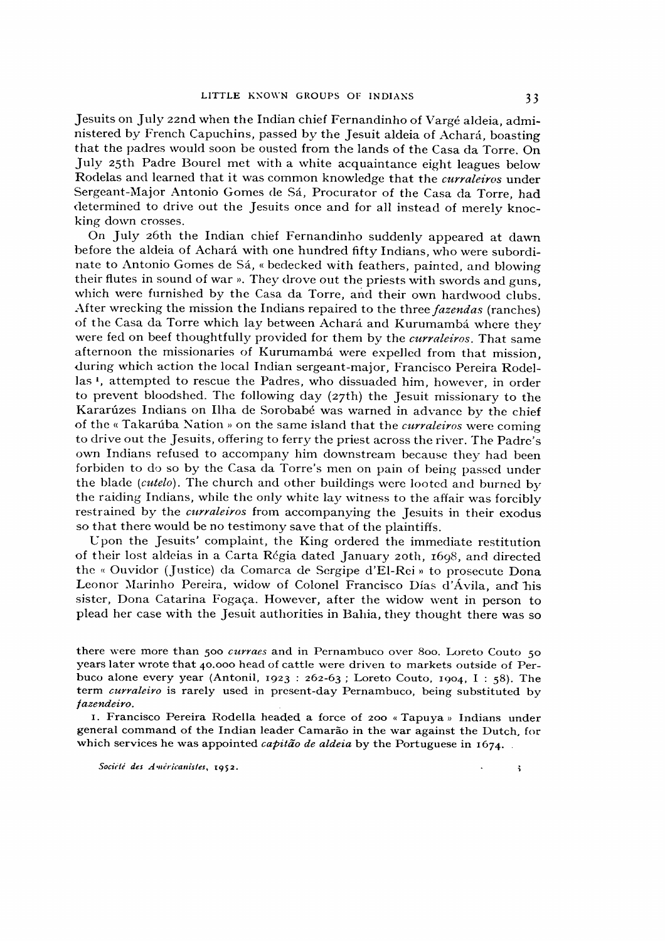Jesuits on July 22nd when the Indian chief Fernandinho of Vargé aldeia, nistered by French Capuchins, passed by the Jesuit aldeia of Achará, boasting that the padres would soon be ousted from the lands of the Casa da Torre. On July 25th Padre Bourel met with a white acquaintance eight leagues below Rodelas and learned that it was common knowledge that the curraleiros under Sergeant-Major Antonio Gomes de Sá, Procurator of the Casa da Torre, had determined to drive out the Jesuits once and for all instead of merely knocking down crosses.

On July 26th the Indian chief Fernandinho suddenly appeared at dawn before the aldeia of Achará with one hundred fifty Indians, who were nate to Antonio Gomes de Sá, « bedecked with feathers, painted, and blowing their flutes in sound of war ». They drove out the priests with swords and guns, which were furnished by the Casa da Torre, and their own hardwood clubs. After wrecking the mission the Indians repaired to the three fazendas (ranches) of the Casa da Torre which lay between Achará and Kurumambá where they were fed on beef thoughtfully provided for them by the curraleiros. That same afternoon the missionaries of Kurumambá were expelled from that mission, during which action the local Indian sergeant-major, Francisco Pereira Rodellas<sup>1</sup>, attempted to rescue the Padres, who dissuaded him, however, in order to prevent bloodshed. The following day (27th) the Jesuit missionary to the Kararúzes Indians on Ilha de Sorobabé was warned in advance by the chief of the « Takarúba Nation » on the same island that the *curraleiros* were coming to drive out the Jesuits, offering to ferry the priest across the river. The Padre's own Indians refused to accompany him downstream because they had been forbiden to do so by the Casa da Torre's men on pain of being passed under the blade (*cutelo*). The church and other buildings were looted and burned by the raiding Indians, while the only white lay witness to the affair was forcibly restrained by the *curraleiros* from accompanying the Jesuits in their exodus so that there would be no testimony save that of the plaintiffs.

Upon the Jesuits' complaint, the King ordered the immediate restitution of their lost aldeias in a Carta Régia dated January 20th, 1698, and directed the « Ouvidor (Justice) da Comarca de Sergipe d'El-Rei » to prosecute Dona Leonor Marinho Pereira, widow of Colonel Francisco Días d'Ávila, and his sister, Dona Catarina Fogaça. However, after the widow went in person to plead her case with the Jesuit authorities in Bahia, they thought there was so

there were more than 500 curraes and in Pernambuco over 800. Loreto Couto 50 years later wrote that 40.000 head of cattle were driven to markets outside of Perbuco alone every year (Antonil, 1923 : 262-63 ; Loreto Couto, 1904, I : 58). The term curraleiro is rarely used in present-day Pernambuco, being substituted by fazendeiro.

1. Francisco Pereira Rodella headed a force of 200 « Tapuya » Indians under general command of the Indian leader Camarào in the war against the Dutch, for which services he was appointed *capitão de aldeia* by the Portuguese in 1674.

Société des Américanistes, 1952. ■ î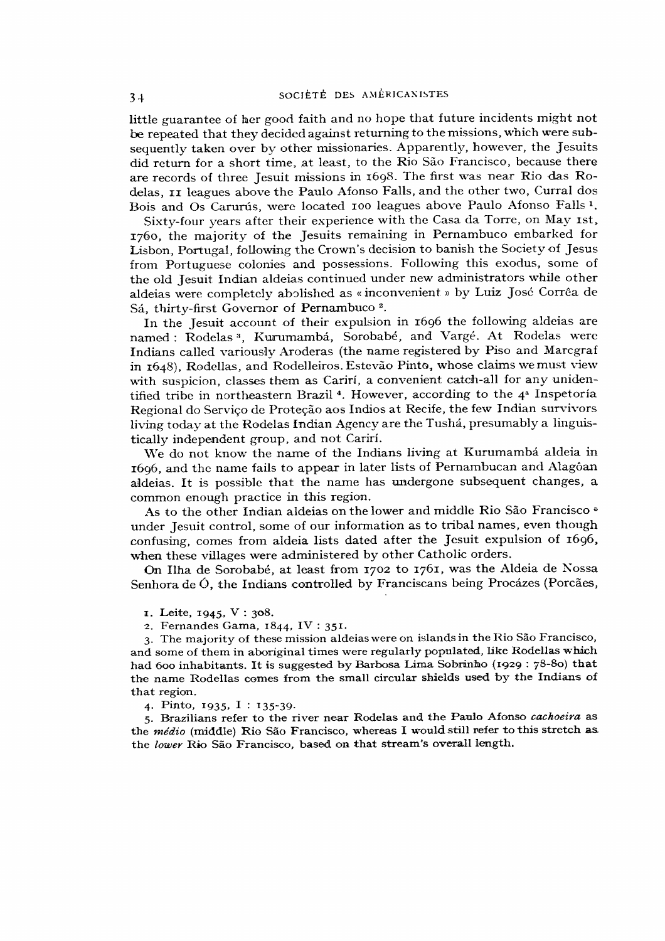little guarantee of her good faith and no hope that future incidents might not be repeated that they decided against returning to the missions, which were sequently taken over by other missionaries. Apparently, however, the Jesuits did return for a short time, at least, to the Rio Sâo Francisco, because there are records of three Jesuit missions in 1698. The first was near Rio das delas, II leagues above the Paulo Afonso Falls, and the other two, Curral dos Bois and Os Carurús, were located 100 leagues above Paulo Afonso Falls<sup>1</sup>.

Sixty-four years after their experience with the Casa da Torre, on May 1st,. 1760, the majority of the Jesuits remaining in Pernambuco embarked for Lisbon, Portugal, following the Crown's decision to banish the Society of Jesus from Portuguese colonies and possessions. Following this exodus, some of the old Jesuit Indian aldeias continued under new administrators while other aldeias were completely abolished as « inconvenient » by Luiz José Corrêa de Sá, thirty-first Governor of Pernambuco 2.

In the Jesuit account of their expulsion in 1696 the following aldeias are named : Rodelas 3, Kurumambá, Sorobabé, and Vargé. At Rodelas were Indians called variously Aroderas (the name registered by Piso and Marcgraf in 1648), Rodellas, and Rodelleiros.Estevâo Pinto, whose claims we must view with suspicion, classes them as Carirí, a convenient catch-all for any unidentified tribe in northeastern Brazil<sup>4</sup>. However, according to the  $4<sup>a</sup>$  Inspetoria Regional do Serviço de Proteçâo aos Indios at Recife, the few Indian survivors living today at the Rodelas Indian Agency are the Tushá, presumably a linguistically independent group, and not Carirí.

We do not know the name of the Indians living at Kurumambá aldeia in 1696, and the name fails to appear in later lists of Pernambucan and Alagôan aldeias. It is possible that the name has undergone subsequent changes, a common enough practice in this region.

As to the other Indian aldeias on the lower and middle Rio São Francisco <sup>®</sup> under Jesuit control, some of our information as to tribal names, even though confusing, comes from aldeia lists dated after the Jesuit expulsion of 1696, when these villages were administered by other Catholic orders.

On Una de Sorobabé, at least from 1702 to 1761, was the Aldeia de Nossa Senhora de Ó, the Indians controlled by Franciscans being Procázes (Porcães,

1. Leite, 1945, V : 308.

2. Fernandes Gama, 1844, IV : 351.

3. The majority of these mission aldeias were on islands in the Rio Sâo Francisco, and some of them in aboriginal times were regularly populated, like Rodellas which had 600 inhabitants. It is suggested by Barbosa Lima Sobrinho (1929 : 78-80) that the name Rodellas comes from the small circular shields used by the Indians of that region.

4. Pinto, 1935, I : Ï35-39-

5. Brazilians refer to the river near Rodelas and the Paulo Afonso cachoeira as the médio (middle) Rio São Francisco, whereas I would still refer to this stretch as. the lower Rio Sâo Francisco, based on that stream's overall length.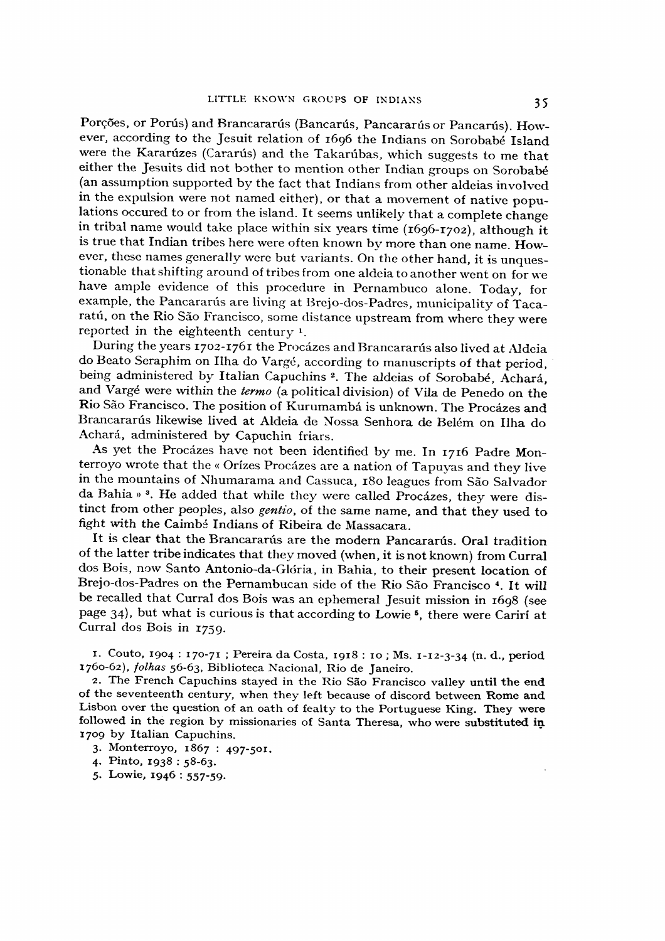Porções, or Porús) and Brancararús (Bancarús, Pancararús or Pancarús). However, according to the Jesuit relation of 1696 the Indians on Sorobabé Island were the Kararúzes (Gararús) and the Takarúbas, which suggests to me that either the Jesuits did not bother to mention other Indian groups on Sorobabé (an assumption supported by the fact that Indians from other aldeias involved in the expulsion were not named either), or that a movement of native populations occured to or from the island. It seems unlikely that a complete change in tribal name would take place within six years time  $(1696-1702)$ , although it is true that Indian tribes here were often known by more than one name. However, these names generally were but variants. On the other hand, it is unquestionable that shifting around of tribes from one aldeia to another went on for we have ample evidence of this procedure in Pernambuco alone. Todav, for example, the Pancararús are living at Brejo-dos-Padres, municipality of Tacaratú, on the Rio Sâo Francisco, some distance upstream from where they were reported in the eighteenth century  $\frac{1}{x}$ .

During the years 1702-1761 the Procázes and Brancararús also lived at Aldeia do Beato Seraphim on Ilha do Vargé, according to manuscripts of that period, being administered by Italian Capuchins 2. The aldeias of Sorobabé, Achará, and Vargé were within the termo (a political division) of Vila de Penedo on the Rio Sào Francisco. The position of Kurumambá is unknown. The Procázes and Brancararús likewise lived at Aldeia de Nossa Scnhora de Belém on Ilha do Achará, administered by Capuchin friars.

As yet the Procázes have not been identified by me. In 1716 Padre Monterroyo wrote that the « Orízes Procázes are a nation of Tapuyas and they live in the mountains of Nhumarama and Cassuca, 180 leagues from Sâo Salvador da Bahia » 3. He added that while they were called Procázes, they were distinct from other peoples, also gentio, of the same name, and that they used to fight with the Caimbé Indians of Ribeira de Massacara.

It is clear that the Brancararús are the modern Pancararús. Oral tradition of the latter tribe indicates that they moved (when, it is not known) from Curral dos Bois, now Santo Antonio-da-Glória, in Bahia, to their present location of Brejo-dos-Padres on the Pernambucan side of the Rio São Francisco<sup>4</sup>. It will be recalled that Curral dos Bois was an ephemeral Jesuit mission in 1698 (see page 34), but what is curious is that according to Lowie 5, there were Cariri at Curral dos Bois in 1759.

1. Couto, 1904 : 170-71 ; Pereira da Costa, 1918 : 10 ; Ms. 1-12-3-34 (n. d., period 1760-62), folhas 56-63, Biblioteca Nacionál, Rio de Janeiro.

2. The French Capuchins stayed in the Rio Sâo Francisco valley until the end of the seventeenth century, when they left because of discord between Rome and Lisbon over the question of an oath of fealty to the Portuguese King. They were followed in the region by missionaries of Santa Theresa, who were substituted in 1709 by Italian Capuchins.

3. Monterroyo, 1867 : 497-501.

4. Pinto, 1938 : 58-63.

5. Lowie, 1946 : 557-59.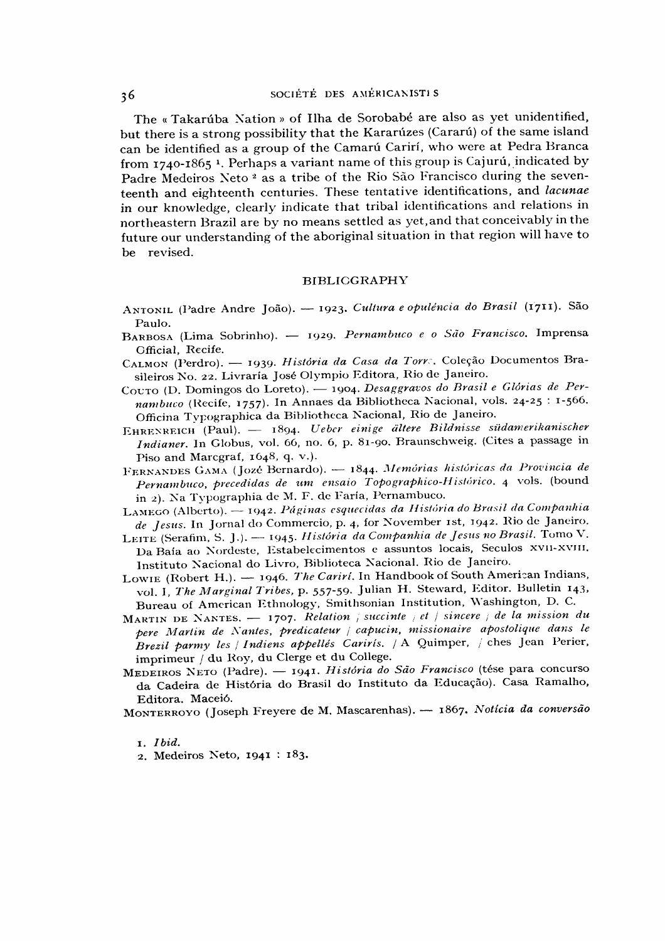The « Takarúba Nation » of Ilha de Sorobabé are also as yet unidentified, but there is a strong possibility that the Kararúzes (Cararú) of the same island can be identified as a group of the Camarú Carirí, who were at Pedra Branca from  $1740-1865$ <sup>1</sup>. Perhaps a variant name of this group is Cajurú, indicated by Padre Medeiros Neto<sup>2</sup> as a tribe of the Rio São Francisco during the seventeenth and eighteenth centuries. These tentative identifications, and lacunae in our knowledge, clearly indicate that tribal identifications and relations in northeastern Brazil are by no means settled as yet, and that conceivably in the future our understanding of the aboriginal situation in that region will have to be revised.

## BIBLIOGRAPHY

- ANTONIL (Padre Andre João). 1923. Cultura e opuléncia do Brasil (1711). São Paulo.
- Barbosa (Lima Sobrinho). 1929. Pernambuco e 0 Sào Francisco. Tmprensa Official, Recife.
- CALMON (Perdro). 1939. História da Casa da Torre. Coleção Documentos Brasileiros No. 22. Livraria José Olympio Editora, Rio de Janeiro.
- Couto (D. Domingos do Loreto). 1904. Desaggravos do Brasil e Glórias de Pernambuco (Recife, 1757). In Annaes da Bibliotheca Nacional, vols. 24-25 : 1-566. Officina Typographica da Bibliotheca Nacional, Rio de Janeiro.
- EHRENREICH (Paul). 1894. Ueber einige ältere Bildnisse südamerikanischer Indianer. In Globus, vol. 66, no. 6, p. 81-90. Braunschweig. (Cites a passage in Piso and Marcgraf, 1648, q. v.).
- FERNANDES GAMA (JOZÉ Bernardo). 1844. Memórias históricas da Provincia de Pernambuco, precedidas de um ensaio Topographico-Histórico. 4 vols. (bound in 2). Na Typographia de M. F. de Faría, Pernambuco.
- LAMEGO (Alberto).  $-$  1942. Páginas esquecidas da História do Brasil da Companhia de Jesus. In Jornal do Commercio, p. 4, for November 1st, 1942. Rio de Janeiro.
- LEITE (Serafim, S. J.). 1945. História da Companhia de Jesus no Brasil. Tomo V. Da Baia ao Nordeste, Estabelecimentos e assuntos locais, Seculos xvn-xvni. Instituto Nacionál do Livro, Biblioteca Nacionál. Rio de Janeiro.
- Lowie (Robert H.). 1946. The Cariri. In Handbook of South American Indians, vol. I, The Marginal Tribes, p. 557-59. Julian H. Steward, Editor. Bulletin 143, Bureau of American Ethnology, Smithsonian Institution, Washington, D. C.
- MARTIN DE NANTES. 1707. Relation j succinte j et j sincere j de la mission du pere Martin de Nantes, predicateur / capucin, missionaire apostolique dans le Brezil parmy les / Indiens appellés Cariris. / A Quimper, / ches Jean Perier, imprimeur / du Roy, du Cierge et du College.
- MEDEIROS NETO (Padre). 1941. História do São Francisco (tése para concurso da Cadeira de História do Brasil do Instituto da Educaçào). Casa Ramallio, Editora. Maceió.

MONTERROYO (Joseph Freyere de M. Mascarenhas). - 1867. Notícia da conversão

- 1. Ibid.
- 2. Medeiros Neto, 1941 : 183.